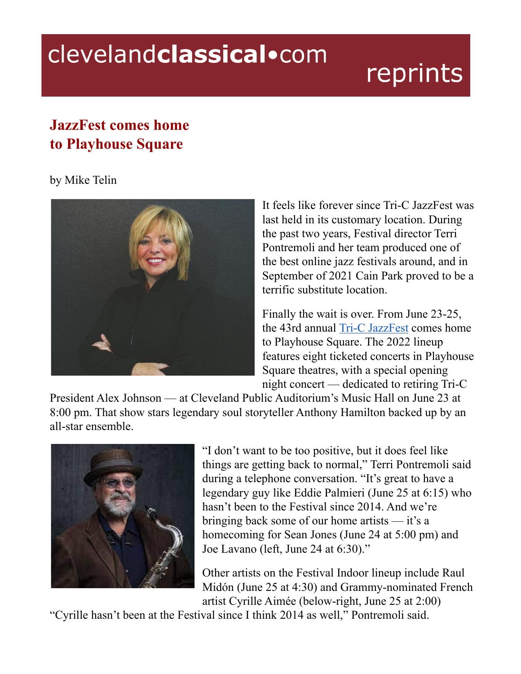## clevelandclassical.com

## reprints

## **JazzFest comes home to Playhouse Square**

## by Mike Telin



It feels like forever since Tri-C JazzFest was last held in its customary location. During the past two years, Festival director Terri Pontremoli and her team produced one of the best online jazz festivals around, and in September of 2021 Cain Park proved to be a terrific substitute location.

Finally the wait is over. From June 23-25, the 43rd annual Tri-C [JazzFest](https://www.tri-c.edu/jazzfest/) comes home to Playhouse Square. The 2022 lineup features eight ticketed concerts in Playhouse Square theatres, with a special opening night concert — dedicated to retiring Tri-C

President Alex Johnson — at Cleveland Public Auditorium's Music Hall on June 23 at 8:00 pm. That show stars legendary soul storyteller Anthony Hamilton backed up by an all-star ensemble.



"I don't want to be too positive, but it does feel like things are getting back to normal," Terri Pontremoli said during a telephone conversation. "It's great to have a legendary guy like Eddie Palmieri (June 25 at 6:15) who hasn't been to the Festival since 2014. And we're bringing back some of our home artists — it's a homecoming for Sean Jones (June 24 at 5:00 pm) and Joe Lavano (left, June 24 at 6:30)."

Other artists on the Festival Indoor lineup include Raul Midón (June 25 at 4:30) and Grammy-nominated French artist Cyrille Aimée (below-right, June 25 at 2:00)

"Cyrille hasn't been at the Festival since I think 2014 as well," Pontremoli said.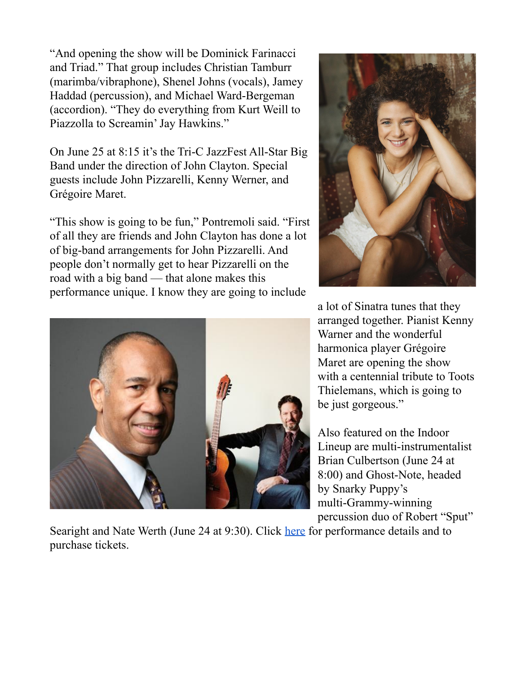"And opening the show will be Dominick Farinacci and Triad." That group includes Christian Tamburr (marimba/vibraphone), Shenel Johns (vocals), Jamey Haddad (percussion), and Michael Ward-Bergeman (accordion). "They do everything from Kurt Weill to Piazzolla to Screamin' Jay Hawkins."

On June 25 at 8:15 it's the Tri-C JazzFest All-Star Big Band under the direction of John Clayton. Special guests include John Pizzarelli, Kenny Werner, and Grégoire Maret.

"This show is going to be fun," Pontremoli said. "First of all they are friends and John Clayton has done a lot of big-band arrangements for John Pizzarelli. And people don't normally get to hear Pizzarelli on the road with a big band — that alone makes this performance unique. I know they are going to include





a lot of Sinatra tunes that they arranged together. Pianist Kenny Warner and the wonderful harmonica player Grégoire Maret are opening the show with a centennial tribute to Toots Thielemans, which is going to be just gorgeous."

Also featured on the Indoor Lineup are multi-instrumentalist Brian Culbertson (June 24 at 8:00) and Ghost-Note, headed by Snarky Puppy's multi-Grammy-winning percussion duo of Robert "Sput"

Searight and Nate Werth (June 24 at 9:30). Click [here](https://www.tri-c.edu/jazzfest/lineup.html) for performance details and to purchase tickets.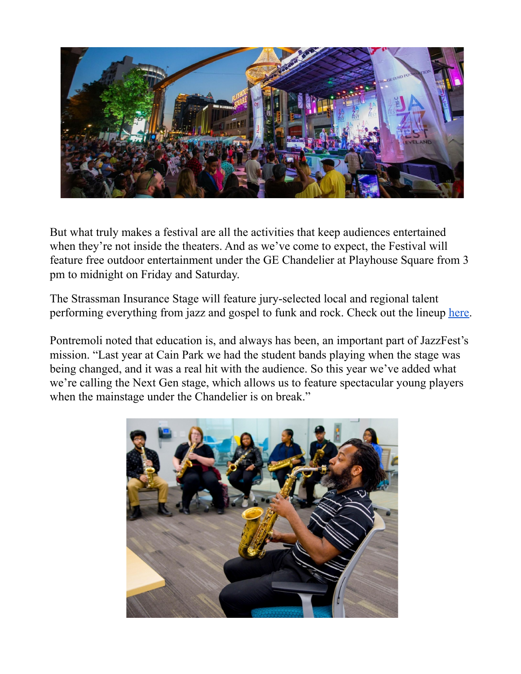

But what truly makes a festival are all the activities that keep audiences entertained when they're not inside the theaters. And as we've come to expect, the Festival will feature free outdoor entertainment under the GE Chandelier at Playhouse Square from 3 pm to midnight on Friday and Saturday.

The Strassman Insurance Stage will feature jury-selected local and regional talent performing everything from jazz and gospel to funk and rock. Check out the lineup [here.](https://www.tri-c.edu/jazzfest/outdoor%20lineup.html)

Pontremoli noted that education is, and always has been, an important part of JazzFest's mission. "Last year at Cain Park we had the student bands playing when the stage was being changed, and it was a real hit with the audience. So this year we've added what we're calling the Next Gen stage, which allows us to feature spectacular young players when the mainstage under the Chandelier is on break."

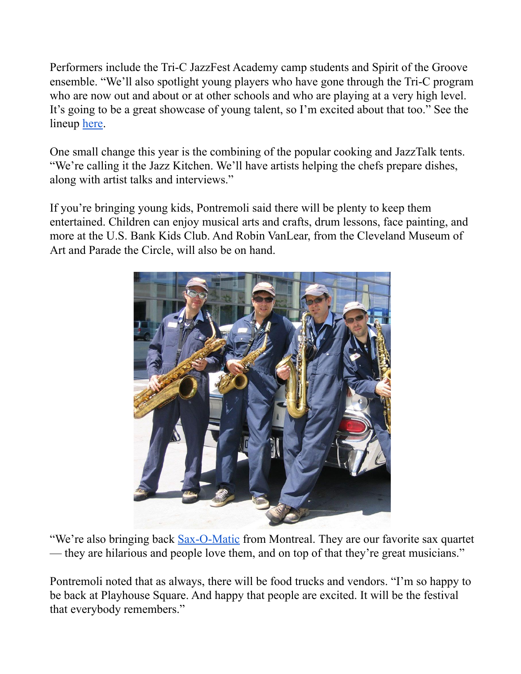Performers include the Tri-C JazzFest Academy camp students and Spirit of the Groove ensemble. "We'll also spotlight young players who have gone through the Tri-C program who are now out and about or at other schools and who are playing at a very high level. It's going to be a great showcase of young talent, so I'm excited about that too." See the lineup <u>[here](https://www.tri-c.edu/jazzfest/outdoor%20lineup.html)</u>.

One small change this year is the combining of the popular cooking and JazzTalk tents. "We're calling it the Jazz Kitchen. We'll have artists helping the chefs prepare dishes, along with artist talks and interviews."

If you're bringing young kids, Pontremoli said there will be plenty to keep them entertained. Children can enjoy musical arts and crafts, drum lessons, face painting, and more at the U.S. Bank Kids Club. And Robin VanLear, from the Cleveland Museum of Art and Parade the Circle, will also be on hand.



"We're also bringing back [Sax-O-Matic](http://sax-o-matic.com/) from Montreal. They are our favorite sax quartet — they are hilarious and people love them, and on top of that they're great musicians."

Pontremoli noted that as always, there will be food trucks and vendors. "I'm so happy to be back at Playhouse Square. And happy that people are excited. It will be the festival that everybody remembers."